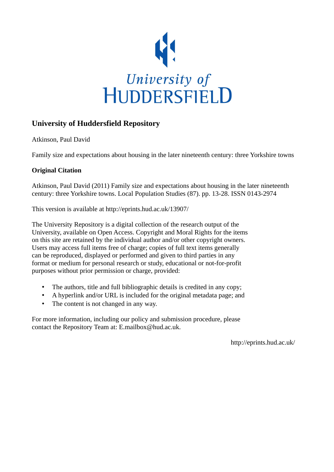

# **University of Huddersfield Repository**

Atkinson, Paul David

Family size and expectations about housing in the later nineteenth century: three Yorkshire towns

## **Original Citation**

Atkinson, Paul David (2011) Family size and expectations about housing in the later nineteenth century: three Yorkshire towns. Local Population Studies (87). pp. 13-28. ISSN 0143-2974

This version is available at http://eprints.hud.ac.uk/13907/

The University Repository is a digital collection of the research output of the University, available on Open Access. Copyright and Moral Rights for the items on this site are retained by the individual author and/or other copyright owners. Users may access full items free of charge; copies of full text items generally can be reproduced, displayed or performed and given to third parties in any format or medium for personal research or study, educational or not-for-profit purposes without prior permission or charge, provided:

- The authors, title and full bibliographic details is credited in any copy;
- A hyperlink and/or URL is included for the original metadata page; and
- The content is not changed in any way.

For more information, including our policy and submission procedure, please contact the Repository Team at: E.mailbox@hud.ac.uk.

http://eprints.hud.ac.uk/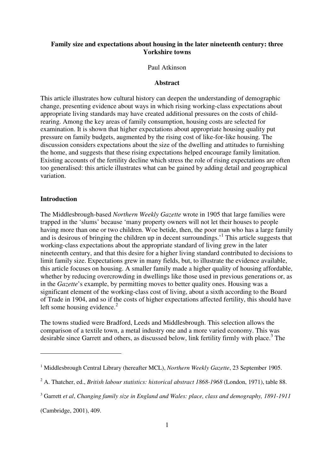### **Family size and expectations about housing in the later nineteenth century: three Yorkshire towns**

#### Paul Atkinson

#### **Abstract**

This article illustrates how cultural history can deepen the understanding of demographic change, presenting evidence about ways in which rising working-class expectations about appropriate living standards may have created additional pressures on the costs of childrearing. Among the key areas of family consumption, housing costs are selected for examination. It is shown that higher expectations about appropriate housing quality put pressure on family budgets, augmented by the rising cost of like-for-like housing. The discussion considers expectations about the size of the dwelling and attitudes to furnishing the home, and suggests that these rising expectations helped encourage family limitation. Existing accounts of the fertility decline which stress the role of rising expectations are often too generalised: this article illustrates what can be gained by adding detail and geographical variation.

### **Introduction**

The Middlesbrough-based *Northern Weekly Gazette* wrote in 1905 that large families were trapped in the 'slums' because 'many property owners will not let their houses to people having more than one or two children. Woe betide, then, the poor man who has a large family and is desirous of bringing the children up in decent surroundings.<sup>1</sup> This article suggests that working-class expectations about the appropriate standard of living grew in the later nineteenth century, and that this desire for a higher living standard contributed to decisions to limit family size. Expectations grew in many fields, but, to illustrate the evidence available, this article focuses on housing. A smaller family made a higher quality of housing affordable, whether by reducing overcrowding in dwellings like those used in previous generations or, as in the *Gazette*'s example, by permitting moves to better quality ones. Housing was a significant element of the working-class cost of living, about a sixth according to the Board of Trade in 1904, and so if the costs of higher expectations affected fertility, this should have left some housing evidence. $2$ 

The towns studied were Bradford, Leeds and Middlesbrough. This selection allows the comparison of a textile town, a metal industry one and a more varied economy. This was desirable since Garrett and others, as discussed below, link fertility firmly with place.<sup>3</sup> The

(Cambridge, 2001), 409.

<sup>&</sup>lt;sup>1</sup> Middlesbrough Central Library (hereafter MCL), *Northern Weekly Gazette*, 23 September 1905.

<sup>&</sup>lt;sup>2</sup> A. Thatcher, ed., *British labour statistics: historical abstract 1868-1968* (London, 1971), table 88.

<sup>3</sup> Garrett *et al*, *Changing family size in England and Wales: place, class and demography, 1891-1911*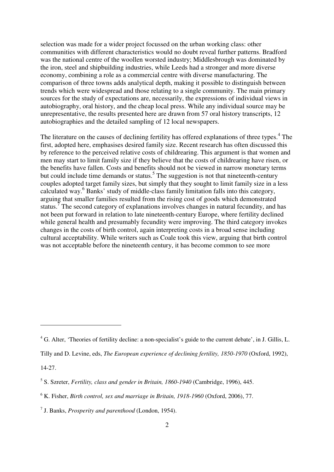selection was made for a wider project focussed on the urban working class: other communities with different characteristics would no doubt reveal further patterns. Bradford was the national centre of the woollen worsted industry; Middlesbrough was dominated by the iron, steel and shipbuilding industries, while Leeds had a stronger and more diverse economy, combining a role as a commercial centre with diverse manufacturing. The comparison of three towns adds analytical depth, making it possible to distinguish between trends which were widespread and those relating to a single community. The main primary sources for the study of expectations are, necessarily, the expressions of individual views in autobiography, oral history, and the cheap local press. While any individual source may be unrepresentative, the results presented here are drawn from 57 oral history transcripts, 12 autobiographies and the detailed sampling of 12 local newspapers.

The literature on the causes of declining fertility has offered explanations of three types.<sup>4</sup> The first, adopted here, emphasises desired family size. Recent research has often discussed this by reference to the perceived relative costs of childrearing. This argument is that women and men may start to limit family size if they believe that the costs of childrearing have risen, or the benefits have fallen. Costs and benefits should not be viewed in narrow monetary terms but could include time demands or status.<sup>5</sup> The suggestion is not that nineteenth-century couples adopted target family sizes, but simply that they sought to limit family size in a less calculated way.<sup>6</sup> Banks' study of middle-class family limitation falls into this category, arguing that smaller families resulted from the rising cost of goods which demonstrated status.<sup>7</sup> The second category of explanations involves changes in natural fecundity, and has not been put forward in relation to late nineteenth-century Europe, where fertility declined while general health and presumably fecundity were improving. The third category invokes changes in the costs of birth control, again interpreting costs in a broad sense including cultural acceptability. While writers such as Coale took this view, arguing that birth control was not acceptable before the nineteenth century, it has become common to see more

14-27.

<sup>&</sup>lt;sup>4</sup> G. Alter, 'Theories of fertility decline: a non-specialist's guide to the current debate', in J. Gillis, L.

Tilly and D. Levine, eds, *The European experience of declining fertility, 1850-1970* (Oxford, 1992),

<sup>5</sup> S. Szreter, *Fertility, class and gender in Britain, 1860-1940* (Cambridge, 1996), 445.

<sup>6</sup> K. Fisher, *Birth control, sex and marriage in Britain, 1918-1960* (Oxford, 2006), 77.

<sup>7</sup> J. Banks, *Prosperity and parenthood* (London, 1954).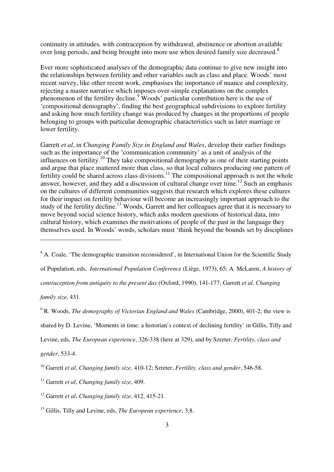continuity in attitudes, with contraception by withdrawal, abstinence or abortion available over long periods, and being brought into more use when desired family size decreased.<sup>8</sup>

Ever more sophisticated analyses of the demographic data continue to give new insight into the relationships between fertility and other variables such as class and place. Woods' most recent survey, like other recent work, emphasises the importance of nuance and complexity, rejecting a master narrative which imposes over-simple explanations on the complex phenomenon of the fertility decline.<sup>9</sup> Woods' particular contribution here is the use of 'compositional demography', finding the best geographical subdivisions to explore fertility and asking how much fertility change was produced by changes in the proportions of people belonging to groups with particular demographic characteristics such as later marriage or lower fertility.

Garrett *et al*, in *Changing Family Size in England and Wales*, develop their earlier findings such as the importance of the 'communication community' as a unit of analysis of the influences on fertility.<sup>10</sup> They take compositional demography as one of their starting points and argue that place mattered more than class, so that local cultures producing one pattern of fertility could be shared across class divisions.<sup>11</sup> The compositional approach is not the whole answer, however, and they add a discussion of cultural change over time.<sup>12</sup> Such an emphasis on the cultures of different communities suggests that research which explores these cultures for their impact on fertility behaviour will become an increasingly important approach to the study of the fertility decline.<sup>13</sup> Woods, Garrett and her colleagues agree that it is necessary to move beyond social science history, which asks modern questions of historical data, into cultural history, which examines the motivations of people of the past in the language they themselves used. In Woods' words, scholars must 'think beyond the bounds set by disciplines

<sup>8</sup> A. Coale, 'The demographic transition reconsidered', in International Union for the Scientific Study of Population, eds, *International Population Conference* (Liège, 1973), 65; A. McLaren, *A history of contraception from antiquity to the present day* (Oxford, 1990), 141-177; Garrett *et al, Changing family size*, 431.

9 R. Woods, *The demography of Victorian England and Wales* (Cambridge, 2000), 401-2; the view is shared by D. Levine, 'Moments in time: a historian's context of declining fertility' in Gillis, Tilly and Levine, eds, *The European experience*, 326-338 (here at 329), and by Szreter, *Fertility, class and gender*, 533-4.

<sup>10</sup> Garrett *et al*, *Changing family size*, 410-12; Szreter, *Fertility, class and gender*, 546-58.

 $\overline{a}$ 

<sup>13</sup> Gillis, Tilly and Levine, eds, *The European experience*, 3,8.

<sup>11</sup> Garrett *et al*, *Changing family size*, 409.

<sup>12</sup> Garrett *et al*, *Changing family size*, 412, 415-21.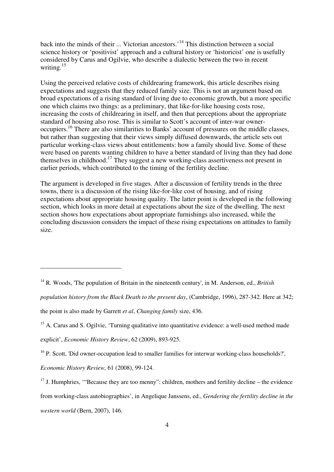back into the minds of their ... Victorian ancestors.'<sup>14</sup> This distinction between a social science history or 'positivist' approach and a cultural history or 'historicist' one is usefully considered by Carus and Ogilvie, who describe a dialectic between the two in recent writing.<sup>15</sup>

Using the perceived relative costs of childrearing framework, this article describes rising expectations and suggests that they reduced family size. This is not an argument based on broad expectations of a rising standard of living due to economic growth, but a more specific one which claims two things: as a preliminary, that like-for-like housing costs rose, increasing the costs of childrearing in itself, and then that perceptions about the appropriate standard of housing also rose. This is similar to Scott's account of inter-war owneroccupiers.<sup>16</sup> There are also similarities to Banks' account of pressures on the middle classes, but rather than suggesting that their views simply diffused downwards, the article sets out particular working-class views about entitlements: how a family should live. Some of these were based on parents wanting children to have a better standard of living than they had done themselves in childhood.<sup>17</sup> They suggest a new working-class assertiveness not present in earlier periods, which contributed to the timing of the fertility decline.

The argument is developed in five stages. After a discussion of fertility trends in the three towns, there is a discussion of the rising like-for-like cost of housing, and of rising expectations about appropriate housing quality. The latter point is developed in the following section, which looks in more detail at expectations about the size of the dwelling. The next section shows how expectations about appropriate furnishings also increased, while the concluding discussion considers the impact of these rising expectations on attitudes to family size.

*Economic History Review,* 61 (2008), 99-124.

<sup>14</sup> R. Woods, 'The population of Britain in the nineteenth century', in M. Anderson, ed., *British population history from the Black Death to the present day*, (Cambridge, 1996), 287-342. Here at 342; the point is also made by Garrett *et al*, *Changing family* size, 436.

<sup>&</sup>lt;sup>15</sup> A. Carus and S. Ogilvie, 'Turning qualitative into quantitative evidence: a well-used method made explicit', *Economic History Review*, 62 (2009), 893-925.

<sup>&</sup>lt;sup>16</sup> P. Scott, 'Did owner-occupation lead to smaller families for interwar working-class households?',

<sup>&</sup>lt;sup>17</sup> J. Humphries, "Because they are too menny": children, mothers and fertility decline – the evidence from working-class autobiographies', in Angelique Janssens, ed., *Gendering the fertility decline in the western world* (Bern, 2007), 146.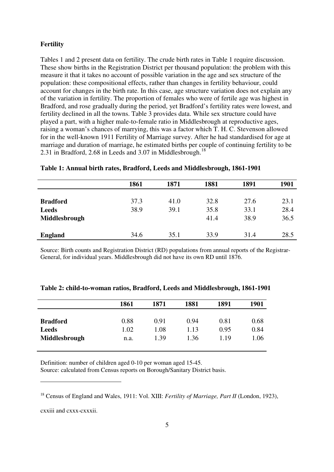#### **Fertility**

Tables 1 and 2 present data on fertility. The crude birth rates in Table 1 require discussion. These show births in the Registration District per thousand population: the problem with this measure it that it takes no account of possible variation in the age and sex structure of the population: these compositional effects, rather than changes in fertility behaviour, could account for changes in the birth rate. In this case, age structure variation does not explain any of the variation in fertility. The proportion of females who were of fertile age was highest in Bradford, and rose gradually during the period, yet Bradford's fertility rates were lowest, and fertility declined in all the towns. Table 3 provides data. While sex structure could have played a part, with a higher male-to-female ratio in Middlesbrough at reproductive ages, raising a woman's chances of marrying, this was a factor which T. H. C. Stevenson allowed for in the well-known 1911 Fertility of Marriage survey. After he had standardised for age at marriage and duration of marriage, he estimated births per couple of continuing fertility to be 2.31 in Bradford, 2.68 in Leeds and 3.07 in Middlesbrough.<sup>18</sup>

|                                 | 1861         | 1871         | 1881         | 1891         | 1901         |
|---------------------------------|--------------|--------------|--------------|--------------|--------------|
|                                 |              |              |              |              |              |
| <b>Bradford</b><br><b>Leeds</b> | 37.3<br>38.9 | 41.0<br>39.1 | 32.8<br>35.8 | 27.6<br>33.1 | 23.1<br>28.4 |
| Middlesbrough                   |              |              | 41.4         | 38.9         | 36.5         |
| <b>England</b>                  | 34.6         | 35.1         | 33.9         | 31.4         | 28.5         |

|  |  | Table 1: Annual birth rates, Bradford, Leeds and Middlesbrough, 1861-1901 |  |
|--|--|---------------------------------------------------------------------------|--|
|  |  |                                                                           |  |

Source: Birth counts and Registration District (RD) populations from annual reports of the Registrar-General, for individual years. Middlesbrough did not have its own RD until 1876.

|                 | 1861 | 1871 | 1881 | 1891 | 1901 |
|-----------------|------|------|------|------|------|
| <b>Bradford</b> | 0.88 | 0.91 | 0.94 | 0.81 | 0.68 |
| <b>Leeds</b>    | 1.02 | 1.08 | 1.13 | 0.95 | 0.84 |
| Middlesbrough   | n.a. | 1.39 | 1.36 | 1.19 | 1.06 |

| Table 2: child-to-woman ratios, Bradford, Leeds and Middlesbrough, 1861-1901 |  |  |
|------------------------------------------------------------------------------|--|--|
|                                                                              |  |  |

Definition: number of children aged 0-10 per woman aged 15-45.

Source: calculated from Census reports on Borough/Sanitary District basis.

cxxiii and cxxx-cxxxii.

<sup>18</sup> Census of England and Wales, 1911: Vol. XIII: *Fertility of Marriage, Part II* (London, 1923),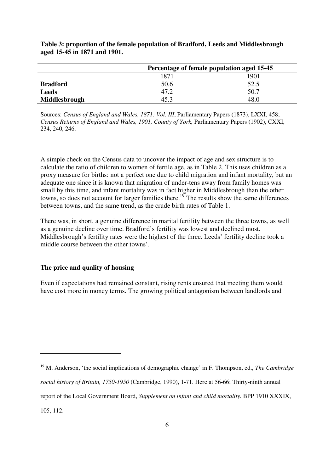|                 | Percentage of female population aged 15-45 |      |  |  |
|-----------------|--------------------------------------------|------|--|--|
|                 | 1901<br>1871                               |      |  |  |
| <b>Bradford</b> | 50.6                                       | 52.5 |  |  |
| <b>Leeds</b>    | 47.2                                       | 50.7 |  |  |
| Middlesbrough   | 45.3                                       | 48.0 |  |  |

**Table 3: proportion of the female population of Bradford, Leeds and Middlesbrough aged 15-45 in 1871 and 1901.** 

Sources: *Census of England and Wales, 1871: Vol. III*, Parliamentary Papers (1873), LXXI, 458; *Census Returns of England and Wales, 1901, County of York,* Parliamentary Papers (1902), CXXI, 234, 240, 246.

A simple check on the Census data to uncover the impact of age and sex structure is to calculate the ratio of children to women of fertile age, as in Table 2. This uses children as a proxy measure for births: not a perfect one due to child migration and infant mortality, but an adequate one since it is known that migration of under-tens away from family homes was small by this time, and infant mortality was in fact higher in Middlesbrough than the other towns, so does not account for larger families there.<sup>19</sup> The results show the same differences between towns, and the same trend, as the crude birth rates of Table 1.

There was, in short, a genuine difference in marital fertility between the three towns, as well as a genuine decline over time. Bradford's fertility was lowest and declined most. Middlesbrough's fertility rates were the highest of the three. Leeds' fertility decline took a middle course between the other towns'.

#### **The price and quality of housing**

 $\overline{a}$ 

Even if expectations had remained constant, rising rents ensured that meeting them would have cost more in money terms. The growing political antagonism between landlords and

<sup>19</sup> M. Anderson, 'the social implications of demographic change' in F. Thompson, ed., *The Cambridge social history of Britain, 1750-1950* (Cambridge, 1990), 1-71. Here at 56-66; Thirty-ninth annual report of the Local Government Board, *Supplement on infant and child mortality.* BPP 1910 XXXIX, 105, 112.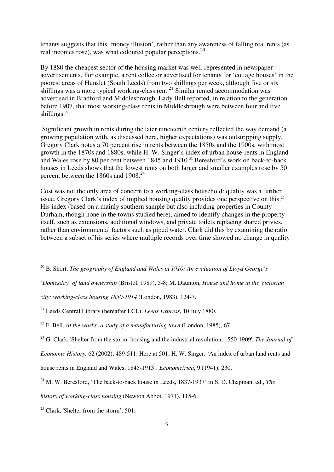tenants suggests that this 'money illusion', rather than any awareness of falling real rents (as real incomes rose), was what coloured popular perceptions.<sup>20</sup>

By 1880 the cheapest sector of the housing market was well-represented in newspaper advertisements. For example, a rent collector advertised for tenants for 'cottage houses' in the poorest areas of Hunslet (South Leeds) from two shillings per week, although five or six shillings was a more typical working-class rent.<sup>21</sup> Similar rented accommodation was advertised in Bradford and Middlesbrough. Lady Bell reported, in relation to the generation before 1907, that most working-class rents in Middlesbrough were between four and five shillings.<sup>22</sup>

 Significant growth in rents during the later nineteenth century reflected the way demand (a growing population with, as discussed here, higher expectations) was outstripping supply. Gregory Clark notes a 70 percent rise in rents between the 1850s and the 1900s, with most growth in the 1870s and 1880s, while H. W. Singer's index of urban house-rents in England and Wales rose by 80 per cent between 1845 and 1910. <sup>23</sup> Beresford's work on back-to-back houses in Leeds shows that the lowest rents on both larger and smaller examples rose by 50 percent between the 1860s and  $1908.<sup>24</sup>$ 

Cost was not the only area of concern to a working-class household: quality was a further issue. Gregory Clark's index of implied housing quality provides one perspective on this.<sup>25</sup> His index (based on a mainly southern sample but also including properties in County Durham, though none in the towns studied here), aimed to identify changes in the property itself, such as extensions, additional windows, and private toilets replacing shared privies, rather than environmental factors such as piped water. Clark did this by examining the ratio between a subset of his series where multiple records over time showed no change in quality

*'Domesday' of land ownership* (Bristol, 1989), 5-8; M. Daunton, *House and home in the Victorian* 

house rents in England and Wales, 1845-1913', *Econometrica*, 9 (1941), 230.

*history of working-class housing* (Newton Abbot, 1971), 115-6.

 $25$  Clark, 'Shelter from the storm', 501.

<sup>20</sup> B. Short, *The geography of England and Wales in 1910: An evaluation of Lloyd George's* 

*city: working-class housing 1850-1914* (London, 1983), 124-7.

<sup>21</sup> Leeds Central Library (hereafter LCL), *Leeds Express*, 10 July 1880.

<sup>22</sup> F. Bell, *At the works: a study of a manufacturing town* (London, 1985), 67.

<sup>23</sup> G. Clark, 'Shelter from the storm: housing and the industrial revolution, 1550-1909', *The Journal of* 

*Economic History,* 62 (2002), 489-511. Here at 501; H. W. Singer, 'An index of urban land rents and

<sup>&</sup>lt;sup>24</sup> M. W. Beresford, 'The back-to-back house in Leeds, 1837-1937' in S. D. Chapman, ed., *The*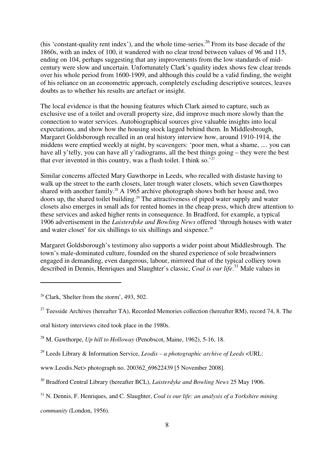(his 'constant-quality rent index'), and the whole time-series.<sup>26</sup> From its base decade of the 1860s, with an index of 100, it wandered with no clear trend between values of 96 and 115, ending on 104, perhaps suggesting that any improvements from the low standards of midcentury were slow and uncertain. Unfortunately Clark's quality index shows few clear trends over his whole period from 1600-1909, and although this could be a valid finding, the weight of his reliance on an econometric approach, completely excluding descriptive sources, leaves doubts as to whether his results are artefact or insight.

The local evidence is that the housing features which Clark aimed to capture, such as exclusive use of a toilet and overall property size, did improve much more slowly than the connection to water services. Autobiographical sources give valuable insights into local expectations, and show how the housing stock lagged behind them. In Middlesbrough, Margaret Goldsborough recalled in an oral history interview how, around 1910-1914, the middens were emptied weekly at night, by scavengers: 'poor men, what a shame, .... you can have all y'telly, you can have all y'radiograms, all the best things going – they were the best that ever invented in this country, was a flush toilet. I think so.<sup>'27</sup>

Similar concerns affected Mary Gawthorpe in Leeds, who recalled with distaste having to walk up the street to the earth closets, later trough water closets, which seven Gawthorpes shared with another family.<sup>28</sup> A 1965 archive photograph shows both her house and, two doors up, the shared toilet building.<sup>29</sup> The attractiveness of piped water supply and water closets also emerges in small ads for rented homes in the cheap press, which drew attention to these services and asked higher rents in consequence. In Bradford, for example, a typical 1906 advertisement in the *Laisterdyke and Bowling News* offered 'through houses with water and water closet' for six shillings to six shillings and sixpence.<sup>30</sup>

Margaret Goldsborough's testimony also supports a wider point about Middlesbrough. The town's male-dominated culture, founded on the shared experience of sole breadwinners engaged in demanding, even dangerous, labour, mirrored that of the typical colliery town described in Dennis, Henriques and Slaughter's classic, *Coal is our life*. <sup>31</sup> Male values in

 $\overline{a}$ 

*community* (London, 1956).

 $26$  Clark, 'Shelter from the storm', 493, 502.

<sup>&</sup>lt;sup>27</sup> Teesside Archives (hereafter TA), Recorded Memories collection (hereafter RM), record 74, 8. The

oral history interviews cited took place in the 1980s.

<sup>28</sup> M. Gawthorpe, *Up hill to Holloway* (Penobscot, Maine, 1962), 5-16, 18.

<sup>29</sup> Leeds Library & Information Service, *Leodis – a photographic archive of Leeds* <URL:

www.Leodis.Net> photograph no. 200362\_69622439 [5 November 2008].

<sup>30</sup> Bradford Central Library (hereafter BCL), *Laisterdyke and Bowling News* 25 May 1906.

<sup>31</sup> N. Dennis, F. Henriques, and C. Slaughter, *Coal is our life: an analysis of a Yorkshire mining*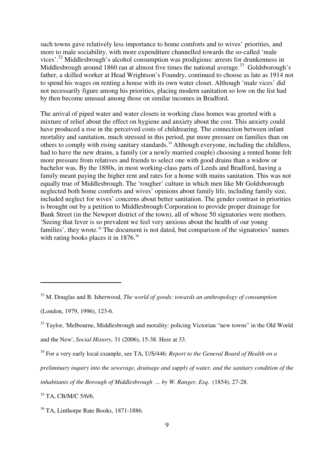such towns gave relatively less importance to home comforts and to wives' priorities, and more to male sociability, with more expenditure channelled towards the so-called 'male vices'.<sup>32</sup> Middlesbrough's alcohol consumption was prodigious: arrests for drunkenness in Middlesbrough around 1860 ran at almost five times the national average.<sup>33</sup> Goldsborough's father, a skilled worker at Head Wrightson's Foundry, continued to choose as late as 1914 not to spend his wages on renting a house with its own water closet. Although 'male vices' did not necessarily figure among his priorities, placing modern sanitation so low on the list had by then become unusual among those on similar incomes in Bradford.

The arrival of piped water and water closets in working class homes was greeted with a mixture of relief about the effect on hygiene and anxiety about the cost. This anxiety could have produced a rise in the perceived costs of childrearing. The connection between infant mortality and sanitation, much stressed in this period, put more pressure on families than on others to comply with rising sanitary standards.<sup>34</sup> Although everyone, including the childless, had to have the new drains, a family (or a newly married couple) choosing a rented home felt more pressure from relatives and friends to select one with good drains than a widow or bachelor was. By the 1880s, in most working-class parts of Leeds and Bradford, having a family meant paying the higher rent and rates for a home with mains sanitation. This was not equally true of Middlesbrough. The 'rougher' culture in which men like Mr Goldsborough neglected both home comforts and wives' opinions about family life, including family size, included neglect for wives' concerns about better sanitation. The gender contrast in priorities is brought out by a petition to Middlesbrough Corporation to provide proper drainage for Bank Street (in the Newport district of the town), all of whose 50 signatories were mothers. 'Seeing that fever is so prevalent we feel very anxious about the health of our young families', they wrote.<sup>35</sup> The document is not dated, but comparison of the signatories' names with rating books places it in 1876.<sup>36</sup>

 $\overline{a}$ 

<sup>34</sup> For a very early local example, see TA, U/S/446: *Report to the General Board of Health on a* 

*inhabitants of the Borough of Middlesbrough ... by W. Ranger, Esq*. (1854), 27-28.

<sup>35</sup> TA, CB/M/C 5/6/6.

<sup>32</sup> M. Douglas and B. Isherwood, *The world of goods: towards an anthropology of consumption*

<sup>(</sup>London, 1979, 1996), 123-6.

<sup>&</sup>lt;sup>33</sup> Taylor, 'Melbourne, Middlesbrough and morality: policing Victorian "new towns" in the Old World and the New', *Social History,* 31 (2006), 15-38. Here at 33.

*preliminary inquiry into the sewerage, drainage and supply of water, and the sanitary condition of the*

<sup>&</sup>lt;sup>36</sup> TA, Linthorpe Rate Books, 1871-1886.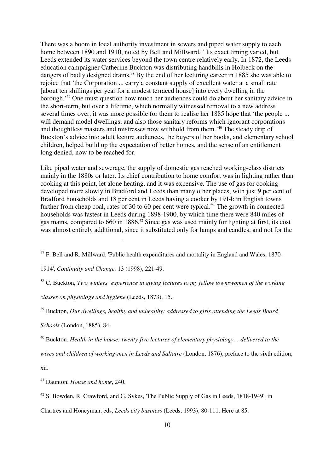There was a boom in local authority investment in sewers and piped water supply to each home between 1890 and 1910, noted by Bell and Millward.<sup>37</sup> Its exact timing varied, but Leeds extended its water services beyond the town centre relatively early. In 1872, the Leeds education campaigner Catherine Buckton was distributing handbills in Holbeck on the dangers of badly designed drains.<sup>38</sup> By the end of her lecturing career in 1885 she was able to rejoice that 'the Corporation ... carry a constant supply of excellent water at a small rate [about ten shillings per year for a modest terraced house] into every dwelling in the borough.'<sup>39</sup> One must question how much her audiences could do about her sanitary advice in the short-term, but over a lifetime, which normally witnessed removal to a new address several times over, it was more possible for them to realise her 1885 hope that 'the people ... will demand model dwellings, and also those sanitary reforms which ignorant corporations and thoughtless masters and mistresses now withhold from them.'<sup>40</sup> The steady drip of Buckton's advice into adult lecture audiences, the buyers of her books, and elementary school children, helped build up the expectation of better homes, and the sense of an entitlement long denied, now to be reached for.

Like piped water and sewerage, the supply of domestic gas reached working-class districts mainly in the 1880s or later. Its chief contribution to home comfort was in lighting rather than cooking at this point, let alone heating, and it was expensive. The use of gas for cooking developed more slowly in Bradford and Leeds than many other places, with just 9 per cent of Bradford households and 18 per cent in Leeds having a cooker by 1914: in English towns further from cheap coal, rates of 30 to 60 per cent were typical.<sup>41</sup> The growth in connected households was fastest in Leeds during 1898-1900, by which time there were 840 miles of gas mains, compared to 660 in 1886.<sup>42</sup> Since gas was used mainly for lighting at first, its cost was almost entirely additional, since it substituted only for lamps and candles, and not for the

*classes on physiology and hygiene* (Leeds, 1873), 15.

<sup>39</sup> Buckton, *Our dwellings, healthy and unhealthy: addressed to girls attending the Leeds Board* 

*Schools* (London, 1885), 84.

<sup>40</sup> Buckton, *Health in the house: twenty-five lectures of elementary physiology… delivered to the* 

*wives and children of working-men in Leeds and Saltaire* (London, 1876), preface to the sixth edition,

xii.

 $\overline{a}$ 

<sup>41</sup> Daunton, *House and home*, 240.

Chartres and Honeyman, eds, *Leeds city business* (Leeds, 1993), 80-111. Here at 85.

 $37$  F. Bell and R. Millward, 'Public health expenditures and mortality in England and Wales, 1870-

<sup>1914&#</sup>x27;, *Continuity and Change,* 13 (1998), 221-49.

<sup>38</sup> C. Buckton, *Two winters' experience in giving lectures to my fellow townswomen of the working* 

 $42$  S. Bowden, R. Crawford, and G. Sykes, 'The Public Supply of Gas in Leeds, 1818-1949', in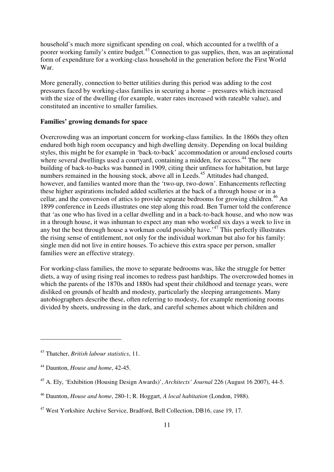household's much more significant spending on coal, which accounted for a twelfth of a poorer working family's entire budget.<sup>43</sup> Connection to gas supplies, then, was an aspirational form of expenditure for a working-class household in the generation before the First World War.

More generally, connection to better utilities during this period was adding to the cost pressures faced by working-class families in securing a home – pressures which increased with the size of the dwelling (for example, water rates increased with rateable value), and constituted an incentive to smaller families.

#### **Families' growing demands for space**

Overcrowding was an important concern for working-class families. In the 1860s they often endured both high room occupancy and high dwelling density. Depending on local building styles, this might be for example in 'back-to-back' accommodation or around enclosed courts where several dwellings used a courtyard, containing a midden, for access.<sup>44</sup> The new building of back-to-backs was banned in 1909, citing their unfitness for habitation, but large numbers remained in the housing stock, above all in Leeds.<sup>45</sup> Attitudes had changed, however, and families wanted more than the 'two-up, two-down'. Enhancements reflecting these higher aspirations included added sculleries at the back of a through house or in a cellar, and the conversion of attics to provide separate bedrooms for growing children.<sup>46</sup> An 1899 conference in Leeds illustrates one step along this road. Ben Turner told the conference that 'as one who has lived in a cellar dwelling and in a back-to-back house, and who now was in a through house, it was inhuman to expect any man who worked six days a week to live in any but the best through house a workman could possibly have.'<sup>47</sup> This perfectly illustrates the rising sense of entitlement, not only for the individual workman but also for his family: single men did not live in entire houses. To achieve this extra space per person, smaller families were an effective strategy.

For working-class families, the move to separate bedrooms was, like the struggle for better diets, a way of using rising real incomes to redress past hardships. The overcrowded homes in which the parents of the 1870s and 1880s had spent their childhood and teenage years, were disliked on grounds of health and modesty, particularly the sleeping arrangements. Many autobiographers describe these, often referring to modesty, for example mentioning rooms divided by sheets, undressing in the dark, and careful schemes about which children and

<sup>43</sup> Thatcher, *British labour statistics*, 11.

<sup>44</sup> Daunton, *House and home*, 42-45.

<sup>45</sup> A. Ely, 'Exhibition (Housing Design Awards)', *Architects' Journal* 226 (August 16 2007), 44-5.

<sup>46</sup> Daunton, *House and home*, 280-1; R. Hoggart, *A local habitation* (London, 1988).

<sup>&</sup>lt;sup>47</sup> West Yorkshire Archive Service, Bradford, Bell Collection, DB16, case 19, 17.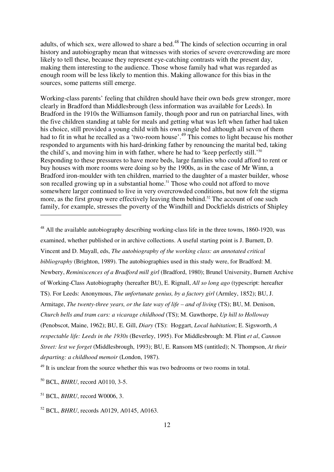adults, of which sex, were allowed to share a bed.<sup>48</sup> The kinds of selection occurring in oral history and autobiography mean that witnesses with stories of severe overcrowding are more likely to tell these, because they represent eye-catching contrasts with the present day, making them interesting to the audience. Those whose family had what was regarded as enough room will be less likely to mention this. Making allowance for this bias in the sources, some patterns still emerge.

Working-class parents' feeling that children should have their own beds grew stronger, more clearly in Bradford than Middlesbrough (less information was available for Leeds). In Bradford in the 1910s the Williamson family, though poor and run on patriarchal lines, with the five children standing at table for meals and getting what was left when father had taken his choice, still provided a young child with his own single bed although all seven of them had to fit in what he recalled as a 'two-room house'.<sup>49</sup> This comes to light because his mother responded to arguments with his hard-drinking father by renouncing the marital bed, taking the child's, and moving him in with father, where he had to 'keep perfectly still.'<sup>50</sup> Responding to these pressures to have more beds, large families who could afford to rent or buy houses with more rooms were doing so by the 1900s, as in the case of Mr Winn, a Bradford iron-moulder with ten children, married to the daughter of a master builder, whose son recalled growing up in a substantial home.<sup>51</sup> Those who could not afford to move somewhere larger continued to live in very overcrowded conditions, but now felt the stigma more, as the first group were effectively leaving them behind.<sup>52</sup> The account of one such family, for example, stresses the poverty of the Windhill and Dockfields districts of Shipley

<sup>48</sup> All the available autobiography describing working-class life in the three towns, 1860-1920, was examined, whether published or in archive collections. A useful starting point is J. Burnett, D. Vincent and D. Mayall, eds, *The autobiography of the working class: an annotated critical bibliography* (Brighton, 1989). The autobiographies used in this study were, for Bradford: M. Newbery, *Reminiscences of a Bradford mill girl* (Bradford, 1980); Brunel University, Burnett Archive of Working-Class Autobiography (hereafter BU), E. Rignall, *All so long ago* (typescript: hereafter TS). For Leeds: Anonymous, *The unfortunate genius, by a factory girl* (Armley, 1852); BU, J. Armitage, *The twenty-three years, or the late way of life – and of living* (TS); BU, M. Denison, *Church bells and tram cars: a vicarage childhood* (TS); M. Gawthorpe, *Up hill to Holloway* (Penobscot, Maine, 1962); BU, E. Gill, *Diary* (TS): Hoggart, *Local habitation*; E. Sigsworth, *A respectable life: Leeds in the 1930s* (Beverley, 1995). For Middlesbrough: M. Flint *et al*, *Cannon Street: lest we forget* (Middlesbrough, 1993); BU, E. Ransom MS (untitled); N. Thompson, *At their departing: a childhood memoir* (London, 1987).

 $49$  It is unclear from the source whether this was two bedrooms or two rooms in total.

 $\overline{a}$ 

<sup>52</sup> BCL, *BHRU*, records A0129, A0145, A0163.

<sup>50</sup> BCL, *BHRU*, record A0110, 3-5.

<sup>51</sup> BCL, *BHRU*, record W0006, 3.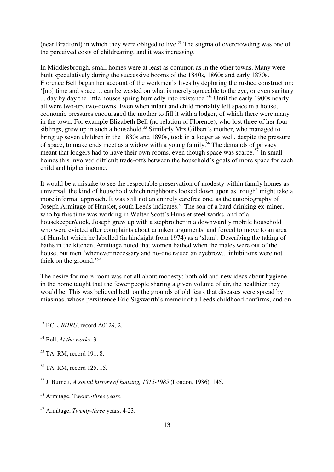(near Bradford) in which they were obliged to live.<sup>53</sup> The stigma of overcrowding was one of the perceived costs of childrearing, and it was increasing.

In Middlesbrough, small homes were at least as common as in the other towns. Many were built speculatively during the successive booms of the 1840s, 1860s and early 1870s. Florence Bell began her account of the workmen's lives by deploring the rushed construction: '[no] time and space ... can be wasted on what is merely agreeable to the eye, or even sanitary ... day by day the little houses spring hurriedly into existence.'<sup>54</sup> Until the early 1900s nearly all were two-up, two-downs. Even when infant and child mortality left space in a house, economic pressures encouraged the mother to fill it with a lodger, of which there were many in the town. For example Elizabeth Bell (no relation of Florence), who lost three of her four siblings, grew up in such a household.<sup>55</sup> Similarly Mrs Gilbert's mother, who managed to bring up seven children in the 1880s and 1890s, took in a lodger as well, despite the pressure of space, to make ends meet as a widow with a young family.<sup>56</sup> The demands of privacy meant that lodgers had to have their own rooms, even though space was scarce.<sup>57</sup> In small homes this involved difficult trade-offs between the household's goals of more space for each child and higher income.

It would be a mistake to see the respectable preservation of modesty within family homes as universal: the kind of household which neighbours looked down upon as 'rough' might take a more informal approach. It was still not an entirely carefree one, as the autobiography of Joseph Armitage of Hunslet, south Leeds indicates.<sup>58</sup> The son of a hard-drinking ex-miner, who by this time was working in Walter Scott's Hunslet steel works, and of a housekeeper/cook, Joseph grew up with a stepbrother in a downwardly mobile household who were evicted after complaints about drunken arguments, and forced to move to an area of Hunslet which he labelled (in hindsight from 1974) as a 'slum'. Describing the taking of baths in the kitchen, Armitage noted that women bathed when the males were out of the house, but men 'whenever necessary and no-one raised an eyebrow... inhibitions were not thick on the ground.'<sup>59</sup>

The desire for more room was not all about modesty: both old and new ideas about hygiene in the home taught that the fewer people sharing a given volume of air, the healthier they would be. This was believed both on the grounds of old fears that diseases were spread by miasmas, whose persistence Eric Sigsworth's memoir of a Leeds childhood confirms, and on

<sup>53</sup> BCL, *BHRU*, record A0129, 2.

<sup>54</sup> Bell, *At the works*, 3.

<sup>&</sup>lt;sup>55</sup> TA, RM, record 191, 8.

<sup>&</sup>lt;sup>56</sup> TA, RM, record 125, 15.

<sup>57</sup> J. Burnett, *A social history of housing, 1815-1985* (London, 1986), 145.

<sup>58</sup> Armitage, T*wenty-three years*.

<sup>59</sup> Armitage, *Twenty-three* years, 4-23.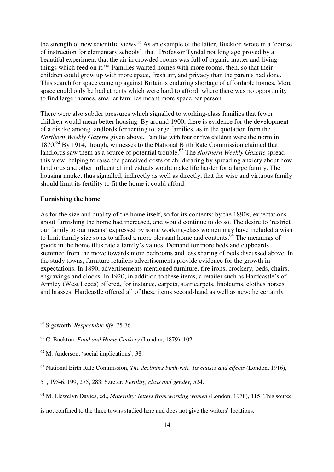the strength of new scientific views.<sup>60</sup> As an example of the latter, Buckton wrote in a 'course of instruction for elementary schools' that 'Professor Tyndal not long ago proved by a beautiful experiment that the air in crowded rooms was full of organic matter and living things which feed on it.'<sup>61</sup> Families wanted homes with more rooms, then, so that their children could grow up with more space, fresh air, and privacy than the parents had done. This search for space came up against Britain's enduring shortage of affordable homes. More space could only be had at rents which were hard to afford: where there was no opportunity to find larger homes, smaller families meant more space per person.

There were also subtler pressures which signalled to working-class families that fewer children would mean better housing. By around 1900, there is evidence for the development of a dislike among landlords for renting to large families, as in the quotation from the *Northern Weekly Gazette* given above. Families with four or five children were the norm in 1870.<sup>62</sup> By 1914, though, witnesses to the National Birth Rate Commission claimed that landlords saw them as a source of potential trouble. <sup>63</sup> The *Northern Weekly Gazette* spread this view, helping to raise the perceived costs of childrearing by spreading anxiety about how landlords and other influential individuals would make life harder for a large family. The housing market thus signalled, indirectly as well as directly, that the wise and virtuous family should limit its fertility to fit the home it could afford.

### **Furnishing the home**

As for the size and quality of the home itself, so for its contents: by the 1890s, expectations about furnishing the home had increased, and would continue to do so. The desire to 'restrict our family to our means' expressed by some working-class women may have included a wish to limit family size so as to afford a more pleasant home and contents.<sup> $64$ </sup> The meanings of goods in the home illustrate a family's values. Demand for more beds and cupboards stemmed from the move towards more bedrooms and less sharing of beds discussed above. In the study towns, furniture retailers advertisements provide evidence for the growth in expectations. In 1890, advertisements mentioned furniture, fire irons, crockery, beds, chairs, engravings and clocks. In 1920, in addition to these items, a retailer such as Hardcastle's of Armley (West Leeds) offered, for instance, carpets, stair carpets, linoleums, clothes horses and brasses. Hardcastle offered all of these items second-hand as well as new: he certainly

<sup>60</sup> Sigsworth, *Respectable life*, 75-76.

<sup>61</sup> C. Buckton, *Food and Home Cookery* (London, 1879), 102.

<sup>62</sup> M. Anderson, 'social implications', 38.

<sup>63</sup> National Birth Rate Commission, *The declining birth-rate. Its causes and effects* (London, 1916),

<sup>51, 195-6, 199, 275, 283;</sup> Szreter, *Fertility, class and gender,* 524.

<sup>64</sup> M. Llewelyn Davies, ed., *Maternity: letters from working women* (London, 1978), 115. This source

is not confined to the three towns studied here and does not give the writers' locations.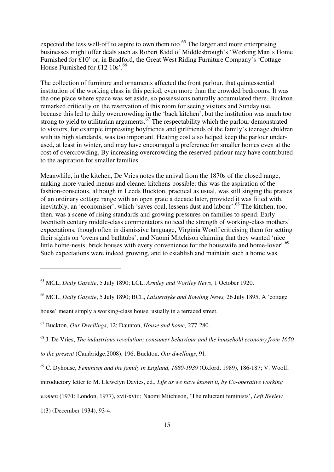expected the less well-off to aspire to own them too.<sup>65</sup> The larger and more enterprising businesses might offer deals such as Robert Kidd of Middlesbrough's 'Working Man's Home Furnished for £10' or, in Bradford, the Great West Riding Furniture Company's 'Cottage House Furnished for £12 10s'.<sup>66</sup>

The collection of furniture and ornaments affected the front parlour, that quintessential institution of the working class in this period, even more than the crowded bedrooms. It was the one place where space was set aside, so possessions naturally accumulated there. Buckton remarked critically on the reservation of this room for seeing visitors and Sunday use, because this led to daily overcrowding in the 'back kitchen', but the institution was much too strong to yield to utilitarian arguments.<sup>67</sup> The respectability which the parlour demonstrated to visitors, for example impressing boyfriends and girlfriends of the family's teenage children with its high standards, was too important. Heating cost also helped keep the parlour underused, at least in winter, and may have encouraged a preference for smaller homes even at the cost of overcrowding. By increasing overcrowding the reserved parlour may have contributed to the aspiration for smaller families.

Meanwhile, in the kitchen, De Vries notes the arrival from the 1870s of the closed range, making more varied menus and cleaner kitchens possible: this was the aspiration of the fashion-conscious, although in Leeds Buckton, practical as usual, was still singing the praises of an ordinary cottage range with an open grate a decade later, provided it was fitted with, inevitably, an 'economiser', which 'saves coal, lessens dust and labour'.<sup>68</sup> The kitchen, too, then, was a scene of rising standards and growing pressures on families to spend. Early twentieth century middle-class commentators noticed the strength of working-class mothers' expectations, though often in dismissive language, Virginia Woolf criticising them for setting their sights on 'ovens and bathtubs', and Naomi Mitchison claiming that they wanted 'nice little home-nests, brick houses with every convenience for the housewife and home-lover'.<sup>69</sup> Such expectations were indeed growing, and to establish and maintain such a home was

<sup>66</sup> MCL, *Daily Gazette*, 5 July 1890; BCL, *Laisterdyke and Bowling News,* 26 July 1895. A 'cottage

house' meant simply a working-class house, usually in a terraced street.

introductory letter to M. Llewelyn Davies, ed., *Life as we have known it, by Co-operative working* 

1(3) (December 1934), 93-4.

<sup>65</sup> MCL, *Daily Gazette*, 5 July 1890; LCL, *Armley and Wortley News*, 1 October 1920.

<sup>67</sup> Buckton, *Our Dwellings*, 12; Daunton, *House and home,* 277-280.

<sup>68</sup> J. De Vries, *The industrious revolution: consumer behaviour and the household economy from 1650 to the present* (Cambridge,2008), 196; Buckton, *Our dwellings*, 91.

<sup>69</sup> C. Dyhouse, *Feminism and the family in England, 1880-1939* (Oxford, 1989), 186-187; V. Woolf,

*women* (1931; London, 1977), xvii-xviii; Naomi Mitchison, 'The reluctant feminists', *Left Review*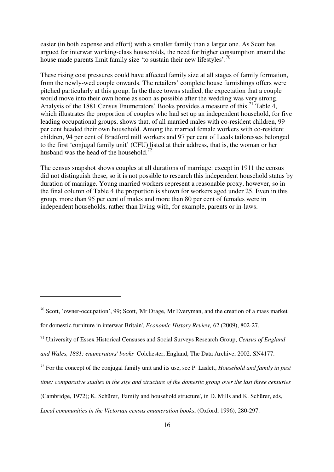easier (in both expense and effort) with a smaller family than a larger one. As Scott has argued for interwar working-class households, the need for higher consumption around the house made parents limit family size 'to sustain their new lifestyles'.<sup>70</sup>

These rising cost pressures could have affected family size at all stages of family formation, from the newly-wed couple onwards. The retailers' complete house furnishings offers were pitched particularly at this group. In the three towns studied, the expectation that a couple would move into their own home as soon as possible after the wedding was very strong. Analysis of the 1881 Census Enumerators' Books provides a measure of this.<sup>71</sup> Table 4, which illustrates the proportion of couples who had set up an independent household, for five leading occupational groups, shows that, of all married males with co-resident children, 99 per cent headed their own household. Among the married female workers with co-resident children, 94 per cent of Bradford mill workers and 97 per cent of Leeds tailoresses belonged to the first 'conjugal family unit' (CFU) listed at their address, that is, the woman or her husband was the head of the household.<sup>72</sup>

The census snapshot shows couples at all durations of marriage: except in 1911 the census did not distinguish these, so it is not possible to research this independent household status by duration of marriage. Young married workers represent a reasonable proxy, however, so in the final column of Table 4 the proportion is shown for workers aged under 25. Even in this group, more than 95 per cent of males and more than 80 per cent of females were in independent households, rather than living with, for example, parents or in-laws.

l

<sup>71</sup> University of Essex Historical Censuses and Social Surveys Research Group, *Census of England and Wales, 1881: enumerators' books* Colchester, England, The Data Archive, 2002. SN4177.

*Local communities in the Victorian census enumeration books*, (Oxford, 1996), 280-297.

 $70$  Scott, 'owner-occupation', 99; Scott, 'Mr Drage, Mr Everyman, and the creation of a mass market for domestic furniture in interwar Britain', *Economic History Review,* 62 (2009), 802-27.

<sup>72</sup> For the concept of the conjugal family unit and its use, see P. Laslett, *Household and family in past* 

*time: comparative studies in the size and structure of the domestic group over the last three centuries*

<sup>(</sup>Cambridge, 1972); K. Schürer, 'Family and household structure', in D. Mills and K. Schürer, eds,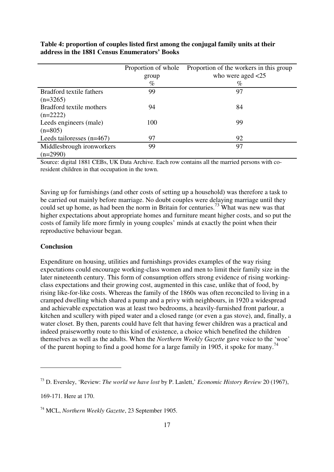|                             | Proportion of whole | Proportion of the workers in this group |
|-----------------------------|---------------------|-----------------------------------------|
|                             | group               | who were aged $\langle 25$              |
|                             | $\%$                | $\%$                                    |
| Bradford textile fathers    | 99                  | 97                                      |
| $(n=3265)$                  |                     |                                         |
| Bradford textile mothers    | 94                  | 84                                      |
| $(n=2222)$                  |                     |                                         |
| Leeds engineers (male)      | 100                 | 99                                      |
| $(n=805)$                   |                     |                                         |
| Leeds tailoresses $(n=467)$ | 97                  | 92                                      |
| Middlesbrough ironworkers   | 99                  | 97                                      |
| $(n=2990)$                  |                     |                                         |

**Table 4: proportion of couples listed first among the conjugal family units at their address in the 1881 Census Enumerators' Books** 

Source: digital 1881 CEBs, UK Data Archive. Each row contains all the married persons with coresident children in that occupation in the town.

Saving up for furnishings (and other costs of setting up a household) was therefore a task to be carried out mainly before marriage. No doubt couples were delaying marriage until they could set up home, as had been the norm in Britain for centuries.<sup>73</sup> What was new was that higher expectations about appropriate homes and furniture meant higher costs, and so put the costs of family life more firmly in young couples' minds at exactly the point when their reproductive behaviour began.

#### **Conclusion**

Expenditure on housing, utilities and furnishings provides examples of the way rising expectations could encourage working-class women and men to limit their family size in the later nineteenth century. This form of consumption offers strong evidence of rising workingclass expectations and their growing cost, augmented in this case, unlike that of food, by rising like-for-like costs. Whereas the family of the 1860s was often reconciled to living in a cramped dwelling which shared a pump and a privy with neighbours, in 1920 a widespread and achievable expectation was at least two bedrooms, a heavily-furnished front parlour, a kitchen and scullery with piped water and a closed range (or even a gas stove), and, finally, a water closet. By then, parents could have felt that having fewer children was a practical and indeed praiseworthy route to this kind of existence, a choice which benefited the children themselves as well as the adults. When the *Northern Weekly Gazette* gave voice to the 'woe' of the parent hoping to find a good home for a large family in 1905, it spoke for many.<sup>74</sup>

<sup>73</sup> D. Eversley, 'Review: *The world we have lost* by P. Laslett,' *Economic History Review* 20 (1967),

<sup>169-171.</sup> Here at 170.

<sup>74</sup> MCL, *Northern Weekly Gazette*, 23 September 1905.